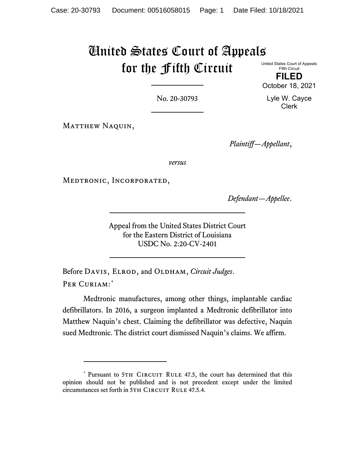# United States Court of Appeals for the Fifth Circuit

United States Court of Appeals Fifth Circuit **FILED**

October 18, 2021

No. 20-30793

MATTHEW NAQUIN,

*Plaintiff—Appellant*,

*versus*

Medtronic, Incorporated,

*Defendant—Appellee*.

Appeal from the United States District Court for the Eastern District of Louisiana USDC No. 2:20-CV-2401

Before DAVIS, ELROD, and OLDHAM, *Circuit Judges*. PER CURIAM:[\\*](#page-0-0)

Medtronic manufactures, among other things, implantable cardiac defibrillators. In 2016, a surgeon implanted a Medtronic defibrillator into Matthew Naquin's chest. Claiming the defibrillator was defective, Naquin sued Medtronic. The district court dismissed Naquin's claims. We affirm.

Lyle W. Cayce Clerk

<span id="page-0-0"></span><sup>\*</sup> Pursuant to 5TH CIRCUIT RULE 47.5, the court has determined that this opinion should not be published and is not precedent except under the limited circumstances set forth in 5TH CIRCUIT RULE 47.5.4.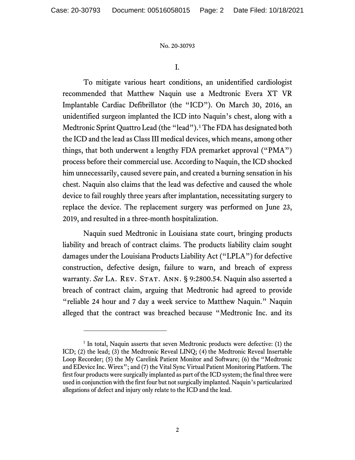I.

To mitigate various heart conditions, an unidentified cardiologist recommended that Matthew Naquin use a Medtronic Evera XT VR Implantable Cardiac Defibrillator (the "ICD"). On March 30, 2016, an unidentified surgeon implanted the ICD into Naquin's chest, along with a Medtronic Sprint Quattro Lead (the "lead").<sup>[1](#page-1-0)</sup> The FDA has designated both the ICD and the lead as Class III medical devices, which means, among other things, that both underwent a lengthy FDA premarket approval ("PMA") process before their commercial use. According to Naquin, the ICD shocked him unnecessarily, caused severe pain, and created a burning sensation in his chest. Naquin also claims that the lead was defective and caused the whole device to fail roughly three years after implantation, necessitating surgery to replace the device. The replacement surgery was performed on June 23, 2019, and resulted in a three-month hospitalization.

Naquin sued Medtronic in Louisiana state court, bringing products liability and breach of contract claims. The products liability claim sought damages under the Louisiana Products Liability Act ("LPLA") for defective construction, defective design, failure to warn, and breach of express warranty. See LA. REV. STAT. ANN. § 9:2800.54. Naquin also asserted a breach of contract claim, arguing that Medtronic had agreed to provide "reliable 24 hour and 7 day a week service to Matthew Naquin." Naquin alleged that the contract was breached because "Medtronic Inc. and its

<span id="page-1-0"></span><sup>&</sup>lt;sup>1</sup> In total, Naquin asserts that seven Medtronic products were defective: (1) the ICD; (2) the lead; (3) the Medtronic Reveal LINQ; (4) the Medtronic Reveal Insertable Loop Recorder; (5) the My Carelink Patient Monitor and Software; (6) the "Medtronic and EDevice Inc. Wirex"; and (7) the Vital Sync Virtual Patient Monitoring Platform. The first four products were surgically implanted as part of the ICD system; the final three were used in conjunction with the first four but not surgically implanted. Naquin's particularized allegations of defect and injury only relate to the ICD and the lead.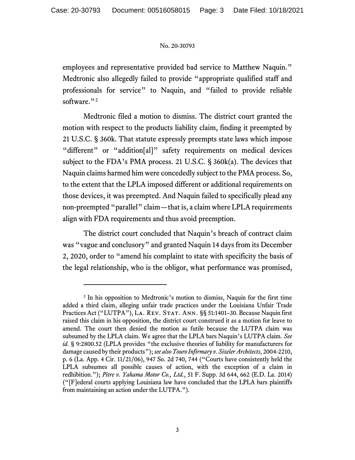employees and representative provided bad service to Matthew Naquin." Medtronic also allegedly failed to provide "appropriate qualified staff and professionals for service" to Naquin, and "failed to provide reliable software."<sup>[2](#page-2-0)</sup>

Medtronic filed a motion to dismiss. The district court granted the motion with respect to the products liability claim, finding it preempted by 21 U.S.C. § 360k. That statute expressly preempts state laws which impose "different" or "addition[al]" safety requirements on medical devices subject to the FDA's PMA process. 21 U.S.C. § 360k(a). The devices that Naquin claims harmed him were concededly subject to the PMA process. So, to the extent that the LPLA imposed different or additional requirements on those devices, it was preempted. And Naquin failed to specifically plead any non-preempted "parallel" claim—that is, a claim where LPLA requirements align with FDA requirements and thus avoid preemption.

The district court concluded that Naquin's breach of contract claim was "vague and conclusory" and granted Naquin 14 days from its December 2, 2020, order to "amend his complaint to state with specificity the basis of the legal relationship, who is the obligor, what performance was promised,

<span id="page-2-0"></span><sup>&</sup>lt;sup>2</sup> In his opposition to Medtronic's motion to dismiss, Naquin for the first time added a third claim, alleging unfair trade practices under the Louisiana Unfair Trade Practices Act ("LUTPA"), LA. REV. STAT. ANN. §§ 51:1401-30. Because Naquin first raised this claim in his opposition, the district court construed it as a motion for leave to amend. The court then denied the motion as futile because the LUTPA claim was subsumed by the LPLA claim. We agree that the LPLA bars Naquin's LUTPA claim. *See id.* § 9:2800.52 (LPLA provides "the exclusive theories of liability for manufacturers for damage caused by their products"); *see also Touro Infirmary v. Sizeler Architects*, 2004-2210, p. 6 (La. App. 4 Cir. 11/21/06), 947 So. 2d 740, 744 ("Courts have consistently held the LPLA subsumes all possible causes of action, with the exception of a claim in redhibition."); *Pitre v. Yahama Motor Co., Ltd.*, 51 F. Supp. 3d 644, 662 (E.D. La. 2014) ("[F]ederal courts applying Louisiana law have concluded that the LPLA bars plaintiffs from maintaining an action under the LUTPA.").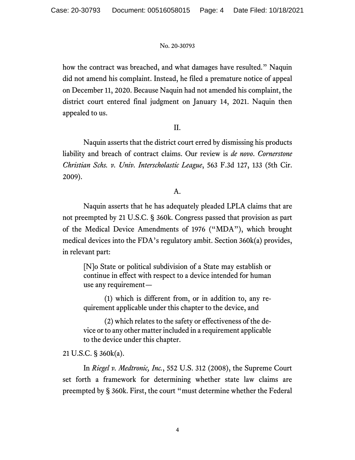how the contract was breached, and what damages have resulted." Naquin did not amend his complaint. Instead, he filed a premature notice of appeal on December 11, 2020. Because Naquin had not amended his complaint, the district court entered final judgment on January 14, 2021. Naquin then appealed to us.

## II.

Naquin asserts that the district court erred by dismissing his products liability and breach of contract claims. Our review is *de novo*. *Cornerstone Christian Schs. v. Univ. Interscholastic League*, 563 F.3d 127, 133 (5th Cir. 2009).

## A.

Naquin asserts that he has adequately pleaded LPLA claims that are not preempted by 21 U.S.C. § 360k. Congress passed that provision as part of the Medical Device Amendments of 1976 ("MDA"), which brought medical devices into the FDA's regulatory ambit. Section 360k(a) provides, in relevant part:

[N]o State or political subdivision of a State may establish or continue in effect with respect to a device intended for human use any requirement—

(1) which is different from, or in addition to, any requirement applicable under this chapter to the device, and

(2) which relates to the safety or effectiveness of the device or to any other matter included in a requirement applicable to the device under this chapter.

21 U.S.C. § 360k(a).

In *Riegel v. Medtronic, Inc.*, 552 U.S. 312 (2008), the Supreme Court set forth a framework for determining whether state law claims are preempted by § 360k. First, the court "must determine whether the Federal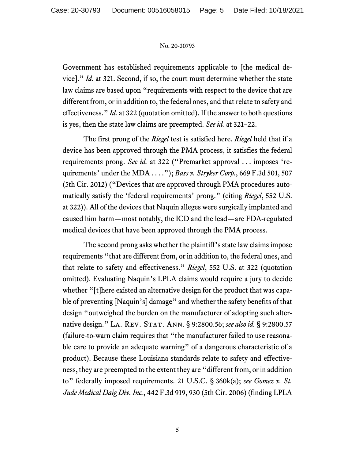Government has established requirements applicable to [the medical device]." *Id.* at 321. Second, if so, the court must determine whether the state law claims are based upon "requirements with respect to the device that are different from, or in addition to, the federal ones, and that relate to safety and effectiveness." *Id.* at 322 (quotation omitted). If the answer to both questions is yes, then the state law claims are preempted. *See id.* at 321–22.

The first prong of the *Riegel* test is satisfied here. *Riegel* held that if a device has been approved through the PMA process, it satisfies the federal requirements prong. *See id.* at 322 ("Premarket approval . . . imposes 'requirements' under the MDA . . . ."); *Bass v. Stryker Corp.*, 669 F.3d 501, 507 (5th Cir. 2012) ("Devices that are approved through PMA procedures automatically satisfy the 'federal requirements' prong." (citing *Riegel*, 552 U.S. at 322)). All of the devices that Naquin alleges were surgically implanted and caused him harm—most notably, the ICD and the lead—are FDA-regulated medical devices that have been approved through the PMA process.

The second prong asks whether the plaintiff's state law claims impose requirements "that are different from, or in addition to, the federal ones, and that relate to safety and effectiveness." *Riegel*, 552 U.S. at 322 (quotation omitted). Evaluating Naquin's LPLA claims would require a jury to decide whether "[t]here existed an alternative design for the product that was capable of preventing [Naquin's] damage" and whether the safety benefits of that design "outweighed the burden on the manufacturer of adopting such alternative design." LA. REV. STAT. ANN. § 9:2800.56; see also id. § 9:2800.57 (failure-to-warn claim requires that "the manufacturer failed to use reasonable care to provide an adequate warning" of a dangerous characteristic of a product). Because these Louisiana standards relate to safety and effectiveness, they are preempted to the extent they are "different from, or in addition to" federally imposed requirements. 21 U.S.C. § 360k(a); *see Gomez v. St. Jude Medical Daig Div. Inc.*, 442 F.3d 919, 930 (5th Cir. 2006) (finding LPLA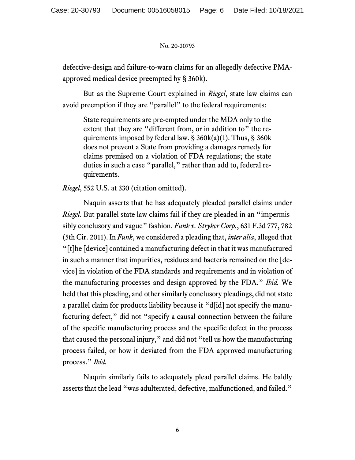defective-design and failure-to-warn claims for an allegedly defective PMAapproved medical device preempted by § 360k).

But as the Supreme Court explained in *Riegel*, state law claims can avoid preemption if they are "parallel" to the federal requirements:

State requirements are pre-empted under the MDA only to the extent that they are "different from, or in addition to" the requirements imposed by federal law.  $\S$  360k(a)(1). Thus,  $\S$  360k does not prevent a State from providing a damages remedy for claims premised on a violation of FDA regulations; the state duties in such a case "parallel," rather than add to, federal requirements.

*Riegel*, 552 U.S. at 330 (citation omitted).

Naquin asserts that he has adequately pleaded parallel claims under *Riegel*. But parallel state law claims fail if they are pleaded in an "impermissibly conclusory and vague" fashion. *Funk v. Stryker Corp.*, 631 F.3d 777, 782 (5th Cir. 2011). In *Funk*, we considered a pleading that, *inter alia*, alleged that "[t]he [device] contained a manufacturing defect in that it was manufactured in such a manner that impurities, residues and bacteria remained on the [device] in violation of the FDA standards and requirements and in violation of the manufacturing processes and design approved by the FDA." *Ibid.* We held that this pleading, and other similarly conclusory pleadings, did not state a parallel claim for products liability because it "d[id] not specify the manufacturing defect," did not "specify a causal connection between the failure of the specific manufacturing process and the specific defect in the process that caused the personal injury," and did not "tell us how the manufacturing process failed, or how it deviated from the FDA approved manufacturing process." *Ibid.*

Naquin similarly fails to adequately plead parallel claims. He baldly asserts that the lead "was adulterated, defective, malfunctioned, and failed."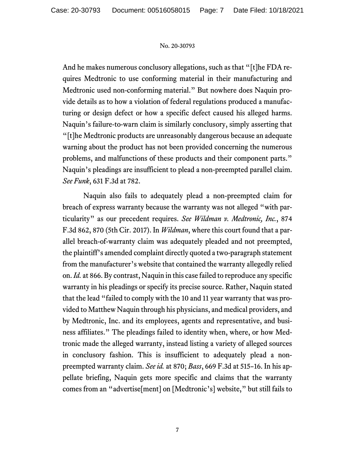And he makes numerous conclusory allegations, such as that "[t]he FDA requires Medtronic to use conforming material in their manufacturing and Medtronic used non-conforming material." But nowhere does Naquin provide details as to how a violation of federal regulations produced a manufacturing or design defect or how a specific defect caused his alleged harms. Naquin's failure-to-warn claim is similarly conclusory, simply asserting that "[t]he Medtronic products are unreasonably dangerous because an adequate warning about the product has not been provided concerning the numerous problems, and malfunctions of these products and their component parts." Naquin's pleadings are insufficient to plead a non-preempted parallel claim. *See Funk*, 631 F.3d at 782.

Naquin also fails to adequately plead a non-preempted claim for breach of express warranty because the warranty was not alleged "with particularity" as our precedent requires. *See Wildman v. Medtronic, Inc.*, 874 F.3d 862, 870 (5th Cir. 2017). In *Wildman*, where this court found that a parallel breach-of-warranty claim was adequately pleaded and not preempted, the plaintiff's amended complaint directly quoted a two-paragraph statement from the manufacturer's website that contained the warranty allegedly relied on. *Id.* at 866. By contrast, Naquin in this case failed to reproduce any specific warranty in his pleadings or specify its precise source. Rather, Naquin stated that the lead "failed to comply with the 10 and 11 year warranty that was provided to Matthew Naquin through his physicians, and medical providers, and by Medtronic, Inc. and its employees, agents and representative, and business affiliates." The pleadings failed to identity when, where, or how Medtronic made the alleged warranty, instead listing a variety of alleged sources in conclusory fashion. This is insufficient to adequately plead a nonpreempted warranty claim. *See id.* at 870; *Bass*, 669 F.3d at 515–16. In his appellate briefing, Naquin gets more specific and claims that the warranty comes from an "advertise[ment] on [Medtronic's] website," but still fails to